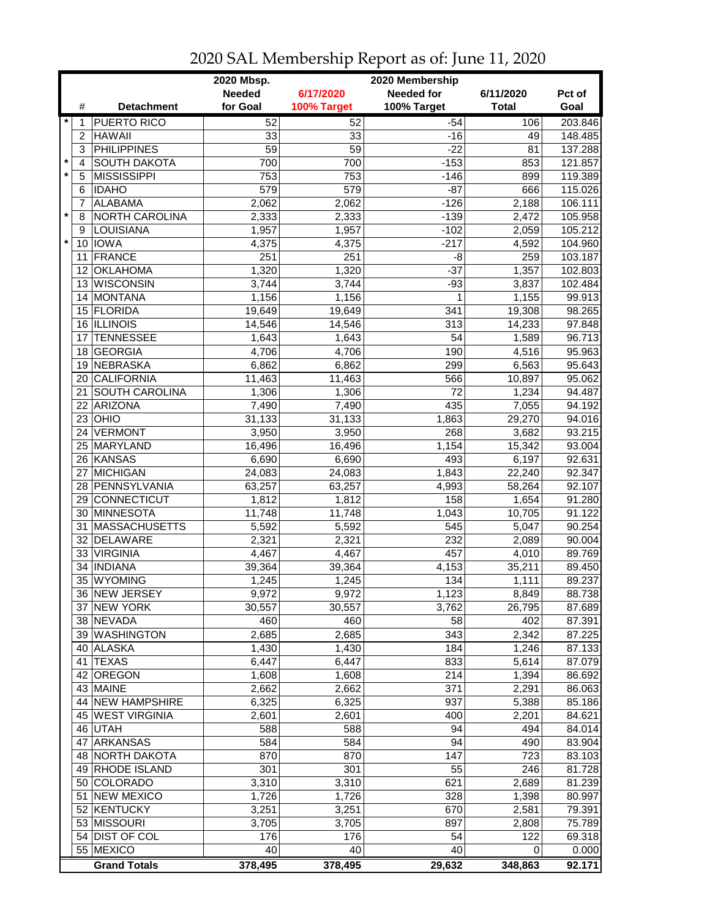|         |                 | 2020 Mbsp.<br>2020 Membership   |                 |                 |                   |              |                  |  |
|---------|-----------------|---------------------------------|-----------------|-----------------|-------------------|--------------|------------------|--|
|         |                 |                                 | <b>Needed</b>   | 6/17/2020       | <b>Needed for</b> | 6/11/2020    | Pct of           |  |
|         | #               | <b>Detachment</b>               | for Goal        | 100% Target     | 100% Target       | <b>Total</b> | Goal             |  |
| $\star$ | 1               | <b>PUERTO RICO</b>              | 52              | $\overline{52}$ | $-54$             | 106          | 203.846          |  |
|         | $\overline{c}$  | <b>HAWAII</b>                   | 33              | 33              | $-16$             | 49           | 148.485          |  |
|         | 3               | <b>PHILIPPINES</b>              | $\overline{59}$ | $\overline{59}$ | $-22$             | 81           | 137.288          |  |
| $\star$ | 4               | <b>SOUTH DAKOTA</b>             | 700             | 700             | $-153$            | 853          | 121.857          |  |
| $\star$ | 5               | <b>MISSISSIPPI</b>              | 753             | 753             | $-146$            | 899          | 119.389          |  |
|         | 6               | <b>IDAHO</b>                    | 579             | 579             | $-87$             | 666          | 115.026          |  |
|         | 7               | <b>ALABAMA</b>                  | 2,062           | 2,062           | $-126$            | 2,188        | 106.111          |  |
| $\star$ | 8               | NORTH CAROLINA                  | 2,333           | 2,333           | $-139$            | 2,472        | 105.958          |  |
|         | 9               | LOUISIANA                       | 1,957           | 1,957           | $-102$            | 2,059        | 105.212          |  |
| $\star$ | 10              | <b>IOWA</b>                     | 4,375           | 4,375           | $-217$            | 4,592        | 104.960          |  |
|         | 11              | <b>FRANCE</b>                   | 251             | 251             | $-8$              | 259          | 103.187          |  |
|         | 12 <sup>2</sup> | <b>OKLAHOMA</b>                 | 1,320           | 1,320           | $-37$             | 1,357        | 102.803          |  |
|         | 13              | <b>WISCONSIN</b>                | 3,744           | 3,744           | $-93$             | 3,837        | 102.484          |  |
|         | 14              | <b>MONTANA</b>                  | 1,156           | 1,156           | 1                 | 1,155        | 99.913           |  |
|         |                 | 15 FLORIDA                      |                 |                 |                   |              |                  |  |
|         |                 |                                 | 19,649          | 19,649          | 341               | 19,308       | 98.265           |  |
|         | 17              | 16 ILLINOIS<br><b>TENNESSEE</b> | 14,546          | 14,546          | 313<br>54         | 14,233       | 97.848           |  |
|         |                 | <b>GEORGIA</b>                  | 1,643<br>4,706  | 1,643           |                   | 1,589        | 96.713<br>95.963 |  |
|         | 18              |                                 |                 | 4,706           | 190               | 4,516        |                  |  |
|         | 19              | <b>NEBRASKA</b>                 | 6,862           | 6,862           | 299               | 6,563        | 95.643           |  |
|         |                 | 20 CALIFORNIA                   | 11,463          | 11,463          | 566               | 10,897       | 95.062           |  |
|         | 21              | <b>SOUTH CAROLINA</b>           | 1,306           | 1,306           | 72                | 1,234        | 94.487           |  |
|         |                 | 22 ARIZONA                      | 7,490           | 7,490           | 435               | 7,055        | 94.192           |  |
|         |                 | $23$ OHIO                       | 31,133          | 31,133          | 1,863             | 29,270       | 94.016           |  |
|         | 24              | <b>VERMONT</b>                  | 3,950           | 3,950           | 268               | 3,682        | 93.215           |  |
|         |                 | 25 MARYLAND                     | 16,496          | 16,496          | 1,154             | 15,342       | 93.004           |  |
|         |                 | 26 KANSAS                       | 6,690           | 6,690           | 493               | 6,197        | 92.631           |  |
|         | 27              | <b>MICHIGAN</b>                 | 24,083          | 24,083          | 1,843             | 22,240       | 92.347           |  |
|         |                 | 28 PENNSYLVANIA                 | 63,257          | 63,257          | 4,993             | 58,264       | 92.107           |  |
|         | 29              | CONNECTICUT                     | 1,812           | 1,812           | 158               | 1,654        | 91.280           |  |
|         |                 | 30 MINNESOTA                    | 11,748          | 11,748          | 1,043             | 10,705       | 91.122           |  |
|         | 31              | <b>MASSACHUSETTS</b>            | 5,592           | 5,592           | 545               | 5,047        | 90.254           |  |
|         |                 | 32 DELAWARE                     | 2,321           | 2,321           | 232               | 2,089        | 90.004           |  |
|         |                 | 33 VIRGINIA                     | 4,467           | 4,467           | 457               | 4,010        | 89.769           |  |
|         | 34              | <b>INDIANA</b>                  | 39,364          | 39,364          | 4,153             | 35,211       | 89.450           |  |
|         |                 | 35 WYOMING                      | 1,245           | 1,245           | 134               | 1,111        | 89.237           |  |
|         |                 | 36 NEW JERSEY                   | 9,972           | 9,972           | 1,123             | 8,849        | 88.738           |  |
|         |                 | 37 NEW YORK                     | 30,557          | 30,557          | 3,762             | 26,795       | 87.689           |  |
|         |                 | 38 NEVADA                       | 460             | 460             | 58                | 402          | 87.391           |  |
|         |                 | 39 WASHINGTON                   | 2,685           | 2,685           | 343               | 2,342        | 87.225           |  |
|         |                 | 40 ALASKA                       | 1,430           | 1,430           | 184               | 1,246        | 87.133           |  |
|         |                 | 41 TEXAS                        | 6,447           | 6,447           | 833               | 5,614        | 87.079           |  |
|         |                 | 42 OREGON                       | 1,608           | 1,608           | 214               | 1,394        | 86.692           |  |
|         |                 | 43 MAINE                        | 2,662           | 2,662           | 371               | 2,291        | 86.063           |  |
|         |                 | 44 NEW HAMPSHIRE                | 6,325           | 6,325           | 937               | 5,388        | 85.186           |  |
|         |                 | 45 WEST VIRGINIA                | 2,601           | 2,601           | 400               | 2,201        | 84.621           |  |
|         |                 | 46 UTAH                         | 588             | 588             | 94                | 494          | 84.014           |  |
|         |                 | 47 ARKANSAS                     | 584             | 584             | 94                | 490          | 83.904           |  |
|         |                 | 48 NORTH DAKOTA                 | 870             | 870             | 147               | 723          | 83.103           |  |
|         |                 | 49 RHODE ISLAND                 | 301             | 301             | 55                | 246          | 81.728           |  |
|         |                 | 50 COLORADO                     | 3,310           | 3,310           | 621               | 2,689        | 81.239           |  |
|         | 51              | NEW MEXICO                      | 1,726           | 1,726           | 328               | 1,398        | 80.997           |  |
|         |                 | 52 KENTUCKY                     | 3,251           | 3,251           | 670               | 2,581        | 79.391           |  |
|         |                 | 53 MISSOURI                     | 3,705           | 3,705           | 897               | 2,808        | 75.789           |  |
|         |                 | 54 DIST OF COL                  | 176             | 176             | 54                | 122          | 69.318           |  |
|         |                 | 55 MEXICO                       | 40              | 40              | 40                | 0            | 0.000            |  |
|         |                 | <b>Grand Totals</b>             | 378,495         | 378,495         | 29,632            | 348,863      | 92.171           |  |

2020 SAL Membership Report as of: June 11, 2020